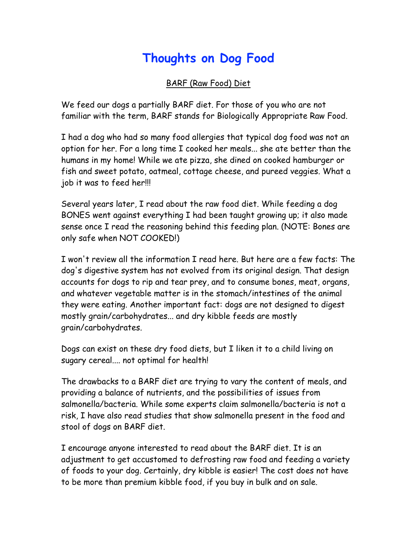## **Thoughts on Dog Food**

BARF (Raw Food) Diet

We feed our dogs a partially BARF diet. For those of you who are not familiar with the term, BARF stands for Biologically Appropriate Raw Food.

I had a dog who had so many food allergies that typical dog food was not an option for her. For a long time I cooked her meals... she ate better than the humans in my home! While we ate pizza, she dined on cooked hamburger or fish and sweet potato, oatmeal, cottage cheese, and pureed veggies. What a job it was to feed her!!!

Several years later, I read about the raw food diet. While feeding a dog BONES went against everything I had been taught growing up; it also made sense once I read the reasoning behind this feeding plan. (NOTE: Bones are only safe when NOT COOKED!)

I won't review all the information I read here. But here are a few facts: The dog's digestive system has not evolved from its original design. That design accounts for dogs to rip and tear prey, and to consume bones, meat, organs, and whatever vegetable matter is in the stomach/intestines of the animal they were eating. Another important fact: dogs are not designed to digest mostly grain/carbohydrates... and dry kibble feeds are mostly grain/carbohydrates.

Dogs can exist on these dry food diets, but I liken it to a child living on sugary cereal.... not optimal for health!

The drawbacks to a BARF diet are trying to vary the content of meals, and providing a balance of nutrients, and the possibilities of issues from salmonella/bacteria. While some experts claim salmonella/bacteria is not a risk, I have also read studies that show salmonella present in the food and stool of dogs on BARF diet.

I encourage anyone interested to read about the BARF diet. It is an adjustment to get accustomed to defrosting raw food and feeding a variety of foods to your dog. Certainly, dry kibble is easier! The cost does not have to be more than premium kibble food, if you buy in bulk and on sale.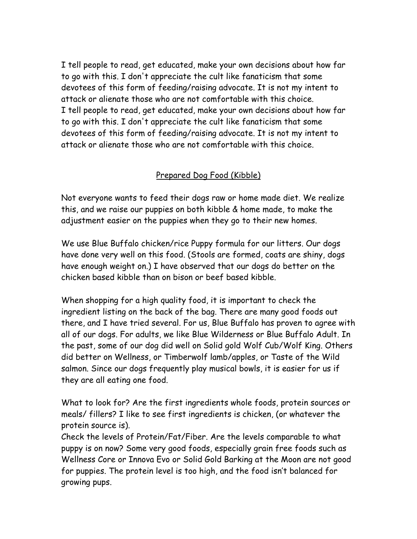I tell people to read, get educated, make your own decisions about how far to go with this. I don't appreciate the cult like fanaticism that some devotees of this form of feeding/raising advocate. It is not my intent to attack or alienate those who are not comfortable with this choice. I tell people to read, get educated, make your own decisions about how far to go with this. I don't appreciate the cult like fanaticism that some devotees of this form of feeding/raising advocate. It is not my intent to attack or alienate those who are not comfortable with this choice.

## Prepared Dog Food (Kibble)

Not everyone wants to feed their dogs raw or home made diet. We realize this, and we raise our puppies on both kibble & home made, to make the adjustment easier on the puppies when they go to their new homes.

We use Blue Buffalo chicken/rice Puppy formula for our litters. Our dogs have done very well on this food. (Stools are formed, coats are shiny, dogs have enough weight on.) I have observed that our dogs do better on the chicken based kibble than on bison or beef based kibble.

When shopping for a high quality food, it is important to check the ingredient listing on the back of the bag. There are many good foods out there, and I have tried several. For us, Blue Buffalo has proven to agree with all of our dogs. For adults, we like Blue Wilderness or Blue Buffalo Adult. In the past, some of our dog did well on Solid gold Wolf Cub/Wolf King. Others did better on Wellness, or Timberwolf lamb/apples, or Taste of the Wild salmon. Since our dogs frequently play musical bowls, it is easier for us if they are all eating one food.

What to look for? Are the first ingredients whole foods, protein sources or meals/ fillers? I like to see first ingredients is chicken, (or whatever the protein source is).

Check the levels of Protein/Fat/Fiber. Are the levels comparable to what puppy is on now? Some very good foods, especially grain free foods such as Wellness Core or Innova Evo or Solid Gold Barking at the Moon are not good for puppies. The protein level is too high, and the food isn't balanced for growing pups.